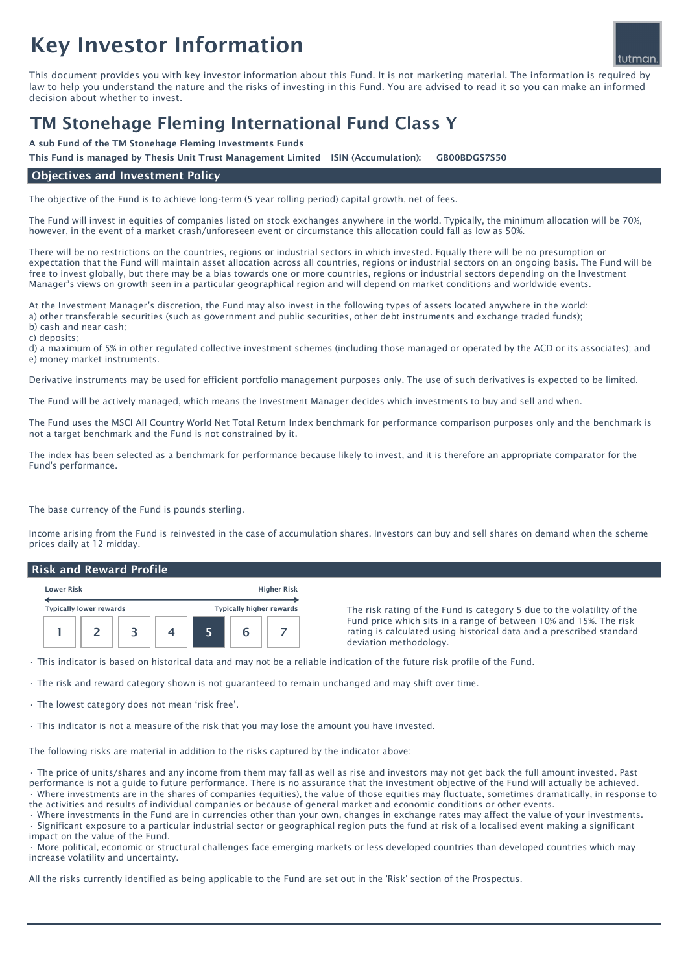# Key Investor Information

This document provides you with key investor information about this Fund. It is not marketing material. The information is required by law to help you understand the nature and the risks of investing in this Fund. You are advised to read it so you can make an informed decision about whether to invest.

# TM Stonehage Fleming International Fund Class Y

A sub Fund of the TM Stonehage Fleming Investments Funds

This Fund is managed by Thesis Unit Trust Management Limited ISIN (Accumulation): GB00BDGS7S50

## Objectives and Investment Policy

The objective of the Fund is to achieve long-term (5 year rolling period) capital growth, net of fees.

The Fund will invest in equities of companies listed on stock exchanges anywhere in the world. Typically, the minimum allocation will be 70%, however, in the event of a market crash/unforeseen event or circumstance this allocation could fall as low as 50%.

There will be no restrictions on the countries, regions or industrial sectors in which invested. Equally there will be no presumption or expectation that the Fund will maintain asset allocation across all countries, regions or industrial sectors on an ongoing basis. The Fund will be free to invest globally, but there may be a bias towards one or more countries, regions or industrial sectors depending on the Investment Manager's views on growth seen in a particular geographical region and will depend on market conditions and worldwide events.

At the Investment Manager's discretion, the Fund may also invest in the following types of assets located anywhere in the world: a) other transferable securities (such as government and public securities, other debt instruments and exchange traded funds); b) cash and near cash;

c) deposits;

d) a maximum of 5% in other regulated collective investment schemes (including those managed or operated by the ACD or its associates); and e) money market instruments.

Derivative instruments may be used for efficient portfolio management purposes only. The use of such derivatives is expected to be limited.

The Fund will be actively managed, which means the Investment Manager decides which investments to buy and sell and when.

The Fund uses the MSCI All Country World Net Total Return Index benchmark for performance comparison purposes only and the benchmark is not a target benchmark and the Fund is not constrained by it.

The index has been selected as a benchmark for performance because likely to invest, and it is therefore an appropriate comparator for the Fund's performance.

The base currency of the Fund is pounds sterling.

Income arising from the Fund is reinvested in the case of accumulation shares. Investors can buy and sell shares on demand when the scheme prices daily at 12 midday.

#### Risk and Reward Profile

| <b>Lower Risk</b>              |  |  | <b>Higher Risk</b> |                                 |  |  |
|--------------------------------|--|--|--------------------|---------------------------------|--|--|
| <b>Typically lower rewards</b> |  |  |                    | <b>Typically higher rewards</b> |  |  |
|                                |  |  |                    |                                 |  |  |

The risk rating of the Fund is category 5 due to the volatility of the Fund price which sits in a range of between 10% and 15%. The risk rating is calculated using historical data and a prescribed standard deviation methodology.

• This indicator is based on historical data and may not be a reliable indication of the future risk profile of the Fund.

• The risk and reward category shown is not guaranteed to remain unchanged and may shift over time.

• The lowest category does not mean 'risk free'.

• This indicator is not a measure of the risk that you may lose the amount you have invested.

The following risks are material in addition to the risks captured by the indicator above:

• The price of units/shares and any income from them may fall as well as rise and investors may not get back the full amount invested. Past performance is not a guide to future performance. There is no assurance that the investment objective of the Fund will actually be achieved. • Where investments are in the shares of companies (equities), the value of those equities may fluctuate, sometimes dramatically, in response to the activities and results of individual companies or because of general market and economic conditions or other events.

• Where investments in the Fund are in currencies other than your own, changes in exchange rates may affect the value of your investments.

• Significant exposure to a particular industrial sector or geographical region puts the fund at risk of a localised event making a significant impact on the value of the Fund.

• More political, economic or structural challenges face emerging markets or less developed countries than developed countries which may increase volatility and uncertainty.

All the risks currently identified as being applicable to the Fund are set out in the 'Risk' section of the Prospectus.